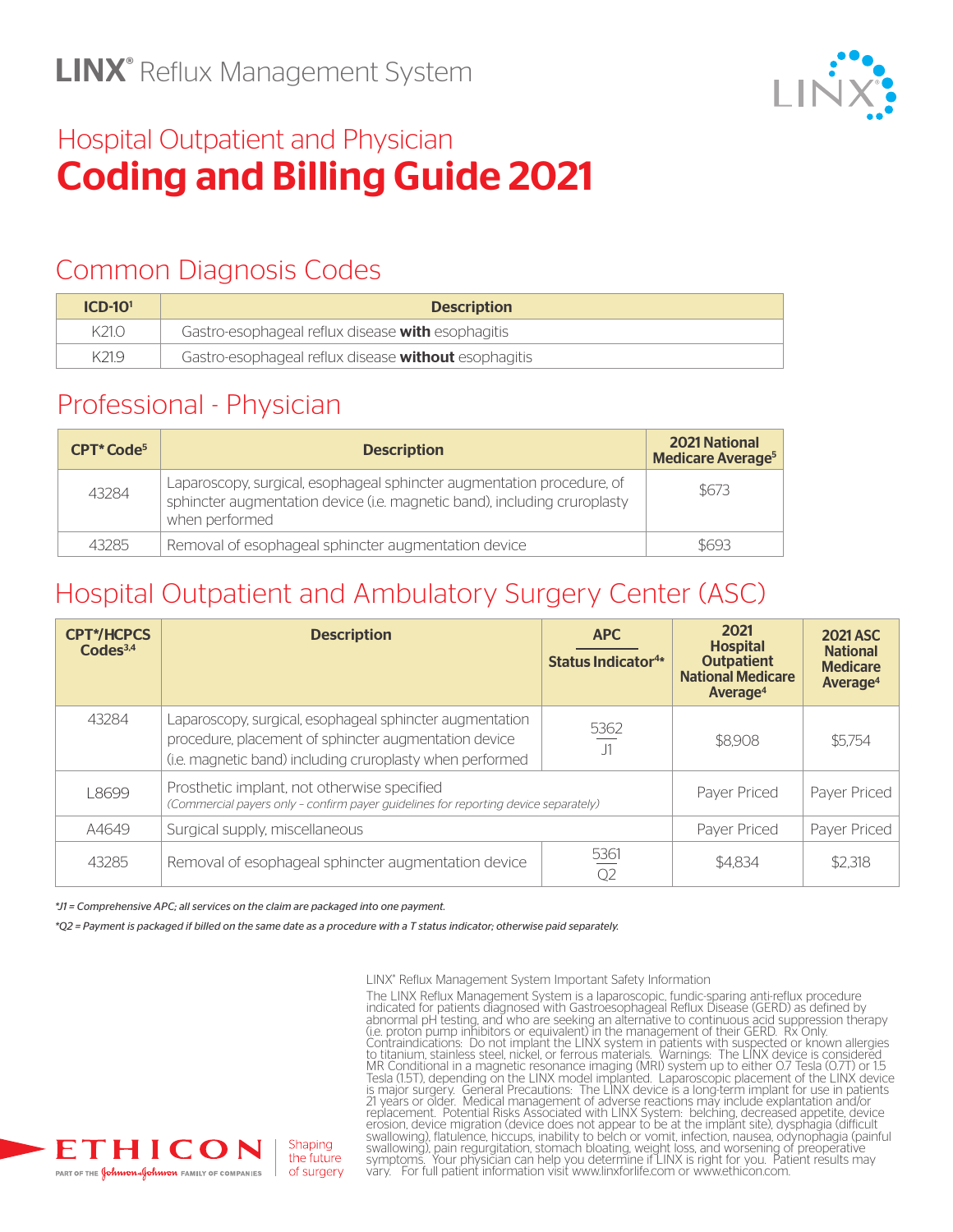

## Hospital Outpatient and Physician Coding and Billing Guide 2021

## Common Diagnosis Codes

| $ICD-1O1$ | <b>Description</b>                                   |
|-----------|------------------------------------------------------|
| K21.0     | Gastro-esophageal reflux disease with esophagitis    |
| K21.9     | Gastro-esophageal reflux disease without esophagitis |

### Professional - Physician

| <b>CPT</b> *Code <sup>5</sup> | <b>Description</b>                                                                                                                                                    | <b>2021 National</b><br><b>Medicare Average<sup>5</sup></b> |
|-------------------------------|-----------------------------------------------------------------------------------------------------------------------------------------------------------------------|-------------------------------------------------------------|
| 43284                         | Laparoscopy, surgical, esophageal sphincter augmentation procedure, of<br>sphincter augmentation device (i.e. magnetic band), including cruroplasty<br>when performed | \$673                                                       |
| 43285                         | Removal of esophageal sphincter augmentation device                                                                                                                   | \$693                                                       |

## Hospital Outpatient and Ambulatory Surgery Center (ASC)

| <b>CPT*/HCPCS</b><br>CodeS <sup>3,4</sup> | <b>Description</b>                                                                                                                                                             | <b>APC</b><br><b>Status Indicator4*</b> | 2021<br><b>Hospital</b><br><b>Outpatient</b><br><b>National Medicare</b><br>Average <sup>4</sup> | <b>2021 ASC</b><br><b>National</b><br><b>Medicare</b><br>Average <sup>4</sup> |
|-------------------------------------------|--------------------------------------------------------------------------------------------------------------------------------------------------------------------------------|-----------------------------------------|--------------------------------------------------------------------------------------------------|-------------------------------------------------------------------------------|
| 43284                                     | Laparoscopy, surgical, esophageal sphincter augmentation<br>procedure, placement of sphincter augmentation device<br>(i.e. magnetic band) including cruroplasty when performed | 5362<br>J1                              | \$8,908                                                                                          | \$5,754                                                                       |
| L8699                                     | Prosthetic implant, not otherwise specified<br>(Commercial payers only - confirm payer quidelines for reporting device separately)                                             |                                         | Payer Priced                                                                                     | Payer Priced                                                                  |
| A4649                                     | Surgical supply, miscellaneous                                                                                                                                                 |                                         | Payer Priced                                                                                     | Payer Priced                                                                  |
| 43285                                     | Removal of esophageal sphincter augmentation device                                                                                                                            | 5361<br>Q <sub>2</sub>                  | \$4.834                                                                                          | \$2,318                                                                       |

*\*J1 = Comprehensive APC; all services on the claim are packaged into one payment.*

*\*Q2 = Payment is packaged if billed on the same date as a procedure with a T status indicator; otherwise paid separately.*



LINX® Reflux Management System Important Safety Information The LINX Reflux Management System is a laparoscopic, fundic-sparing anti-reflux procedure<br>indicated for patients diagnosed with Gastroesophageal Reflux Disease (GERD) as defined by<br>abhormal pH testing, and who are seeking swallowing), flatuleñce, hiccups, inability to belch or vomit, infection, nausea, odynophagia (painful<br>swallowing), pain regurgitation, stomach bloating, weight loss, and worsening of preoperative<br>symptoms. Your physician